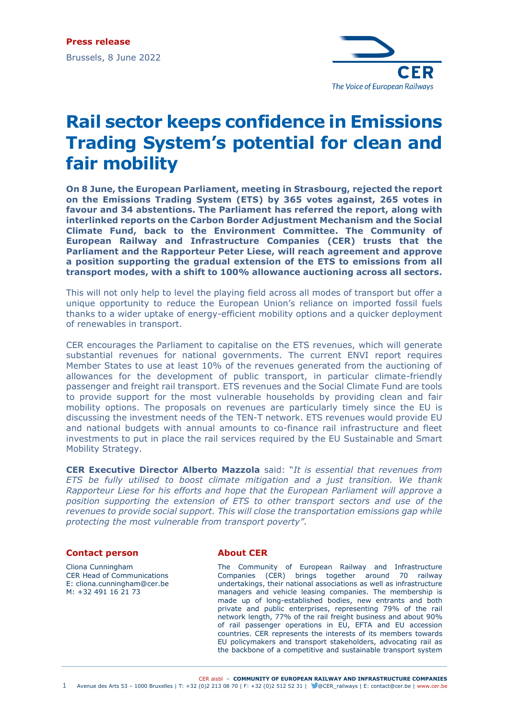

## **Rail sector keeps confidence in Emissions Trading System's potential for clean and fair mobility**

**On 8 June, the European Parliament, meeting in Strasbourg, rejected the report on the Emissions Trading System (ETS) by 365 votes against, 265 votes in favour and 34 abstentions. The Parliament has referred the report, along with interlinked reports on the Carbon Border Adjustment Mechanism and the Social Climate Fund, back to the Environment Committee. The Community of European Railway and Infrastructure Companies (CER) trusts that the Parliament and the Rapporteur Peter Liese, will reach agreement and approve a position supporting the gradual extension of the ETS to emissions from all transport modes, with a shift to 100% allowance auctioning across all sectors.**

This will not only help to level the playing field across all modes of transport but offer a unique opportunity to reduce the European Union's reliance on imported fossil fuels thanks to a wider uptake of energy-efficient mobility options and a quicker deployment of renewables in transport.

CER encourages the Parliament to capitalise on the ETS revenues, which will generate substantial revenues for national governments. The current ENVI report requires Member States to use at least 10% of the revenues generated from the auctioning of allowances for the development of public transport, in particular climate-friendly passenger and freight rail transport. ETS revenues and the Social Climate Fund are tools to provide support for the most vulnerable households by providing clean and fair mobility options. The proposals on revenues are particularly timely since the EU is discussing the investment needs of the TEN-T network. ETS revenues would provide EU and national budgets with annual amounts to co-finance rail infrastructure and fleet investments to put in place the rail services required by the EU Sustainable and Smart Mobility Strategy.

**CER Executive Director Alberto Mazzola** said: "*It is essential that revenues from ETS be fully utilised to boost climate mitigation and a just transition. We thank Rapporteur Liese for his efforts and hope that the European Parliament will approve a position supporting the extension of ETS to other transport sectors and use of the revenues to provide social support. This will close the transportation emissions gap while protecting the most vulnerable from transport poverty".*

## **Contact person**

Cliona Cunningham CER Head of Communications E: cliona.cunningham@cer.be M: +32 491 16 21 73

## **About CER**

The Community of European Railway and Infrastructure Companies (CER) brings together around 70 railway undertakings, their national associations as well as infrastructure managers and vehicle leasing companies. The membership is made up of long-established bodies, new entrants and both private and public enterprises, representing 79% of the rail network length, 77% of the rail freight business and about 90% of rail passenger operations in EU, EFTA and EU accession countries. CER represents the interests of its members towards EU policymakers and transport stakeholders, advocating rail as the backbone of a competitive and sustainable transport system